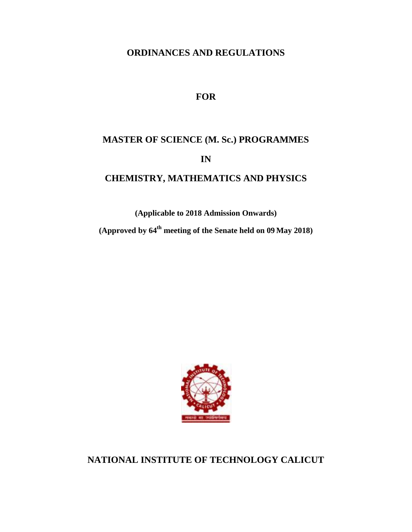## **ORDINANCES AND REGULATIONS**

## **FOR**

# **MASTER OF SCIENCE (M. Sc.) PROGRAMMES IN**

# **CHEMISTRY, MATHEMATICS AND PHYSICS**

**(Applicable to 2018 Admission Onwards)**

**(Approved by 64th meeting of the Senate held on 09 May 2018)**



# **NATIONAL INSTITUTE OF TECHNOLOGY CALICUT**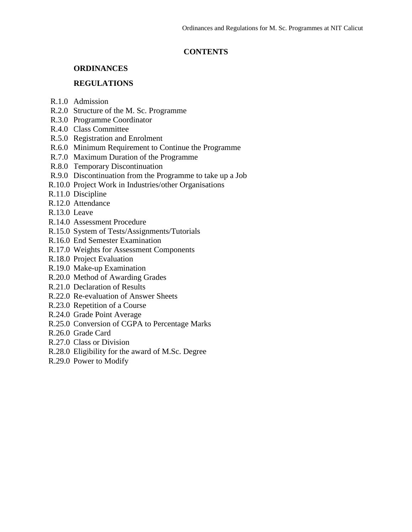## **CONTENTS**

## **ORDINANCES**

## **REGULATIONS**

- R.1.0 Admission
- R.2.0 Structure of the M. Sc. Programme
- R.3.0 Programme Coordinator
- R.4.0 Class Committee
- R.5.0 Registration and Enrolment
- R.6.0 Minimum Requirement to Continue the Programme
- R.7.0 Maximum Duration of the Programme
- R.8.0 Temporary Discontinuation
- R.9.0 Discontinuation from the Programme to take up a Job
- R.10.0 Project Work in Industries/other Organisations
- R.11.0 Discipline
- R.12.0 Attendance
- R.13.0 Leave
- R.14.0 Assessment Procedure
- R.15.0 System of Tests/Assignments/Tutorials
- R.16.0 End Semester Examination
- R.17.0 Weights for Assessment Components
- R.18.0 Project Evaluation
- R.19.0 Make-up Examination
- R.20.0 Method of Awarding Grades
- R.21.0 Declaration of Results
- R.22.0 Re-evaluation of Answer Sheets
- R.23.0 Repetition of a Course
- R.24.0 Grade Point Average
- R.25.0 Conversion of CGPA to Percentage Marks
- R.26.0 Grade Card
- R.27.0 Class or Division
- R.28.0 Eligibility for the award of M.Sc. Degree
- R.29.0 Power to Modify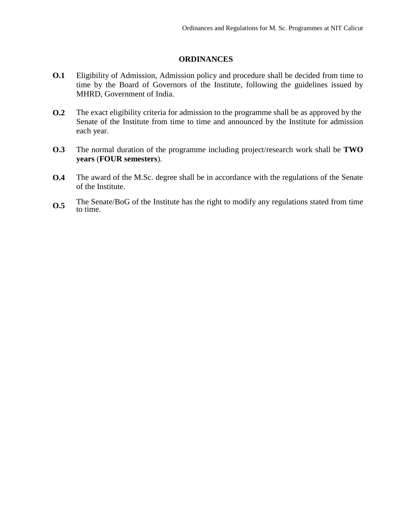## **ORDINANCES**

- **O.1** Eligibility of Admission, Admission policy and procedure shall be decided from time to time by the Board of Governors of the Institute, following the guidelines issued by MHRD, Government of India.
- **O.2** The exact eligibility criteria for admission to the programme shall be as approved by the Senate of the Institute from time to time and announced by the Institute for admission each year.
- **O.3** The normal duration of the programme including project/research work shall be **TWO years** (**FOUR semesters**).
- **O.4** The award of the M.Sc. degree shall be in accordance with the regulations of the Senate of the Institute.
- **O.5** The Senate/BoG of the Institute has the right to modify any regulations stated from time to time.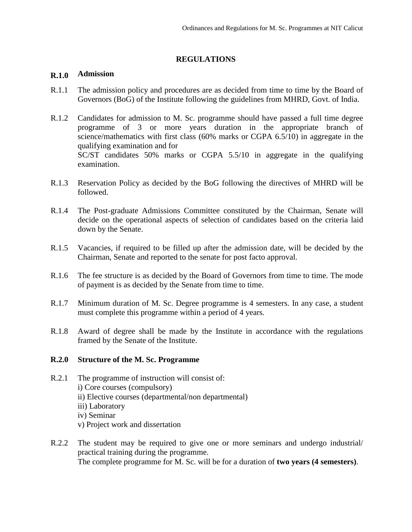## **REGULATIONS**

## **R.1.0 Admission**

- R.1.1 The admission policy and procedures are as decided from time to time by the Board of Governors (BoG) of the Institute following the guidelines from MHRD, Govt. of India.
- R.1.2 Candidates for admission to M. Sc. programme should have passed a full time degree programme of 3 or more years duration in the appropriate branch of science/mathematics with first class (60% marks or CGPA 6.5/10) in aggregate in the qualifying examination and for SC/ST candidates 50% marks or CGPA 5.5/10 in aggregate in the qualifying examination.
- R.1.3 Reservation Policy as decided by the BoG following the directives of MHRD will be followed.
- R.1.4 The Post-graduate Admissions Committee constituted by the Chairman, Senate will decide on the operational aspects of selection of candidates based on the criteria laid down by the Senate.
- R.1.5 Vacancies, if required to be filled up after the admission date, will be decided by the Chairman, Senate and reported to the senate for post facto approval.
- R.1.6 The fee structure is as decided by the Board of Governors from time to time. The mode of payment is as decided by the Senate from time to time.
- R.1.7 Minimum duration of M. Sc. Degree programme is 4 semesters. In any case, a student must complete this programme within a period of 4 years.
- R.1.8 Award of degree shall be made by the Institute in accordance with the regulations framed by the Senate of the Institute.

## **R.2.0 Structure of the M. Sc. Programme**

- R.2.1 The programme of instruction will consist of: i) Core courses (compulsory) ii) Elective courses (departmental/non departmental) iii) Laboratory iv) Seminar v) Project work and dissertation
- R.2.2 The student may be required to give one or more seminars and undergo industrial/ practical training during the programme. The complete programme for M. Sc. will be for a duration of **two years (4 semesters)**.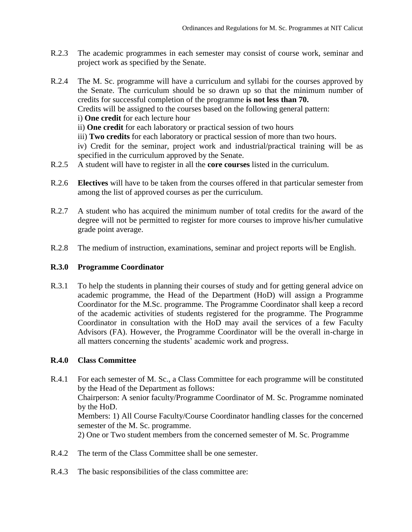- R.2.3 The academic programmes in each semester may consist of course work, seminar and project work as specified by the Senate.
- R.2.4 R.2.5 The M. Sc. programme will have a curriculum and syllabi for the courses approved by the Senate. The curriculum should be so drawn up so that the minimum number of credits for successful completion of the programme **is not less than 70.** Credits will be assigned to the courses based on the following general pattern: i) **One credit** for each lecture hour ii) **One credit** for each laboratory or practical session of two hours iii) **Two credits** for each laboratory or practical session of more than two hours. iv) Credit for the seminar, project work and industrial/practical training will be as specified in the curriculum approved by the Senate. A student will have to register in all the **core courses** listed in the curriculum.
- R.2.6 **Electives** will have to be taken from the courses offered in that particular semester from among the list of approved courses as per the curriculum.
- R.2.7 A student who has acquired the minimum number of total credits for the award of the degree will not be permitted to register for more courses to improve his/her cumulative grade point average.
- R.2.8 The medium of instruction, examinations, seminar and project reports will be English.

## **R.3.0 Programme Coordinator**

R.3.1 To help the students in planning their courses of study and for getting general advice on academic programme, the Head of the Department (HoD) will assign a Programme Coordinator for the M.Sc. programme. The Programme Coordinator shall keep a record of the academic activities of students registered for the programme. The Programme Coordinator in consultation with the HoD may avail the services of a few Faculty Advisors (FA). However, the Programme Coordinator will be the overall in-charge in all matters concerning the students' academic work and progress.

## **R.4.0 Class Committee**

- R.4.1 For each semester of M. Sc., a Class Committee for each programme will be constituted by the Head of the Department as follows: Chairperson: A senior faculty/Programme Coordinator of M. Sc. Programme nominated by the HoD. Members: 1) All Course Faculty/Course Coordinator handling classes for the concerned semester of the M. Sc. programme. 2) One or Two student members from the concerned semester of M. Sc. Programme
- R.4.2 The term of the Class Committee shall be one semester.
- R.4.3 The basic responsibilities of the class committee are: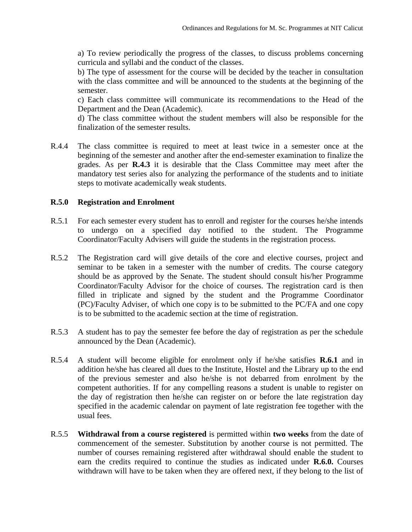a) To review periodically the progress of the classes, to discuss problems concerning curricula and syllabi and the conduct of the classes.

b) The type of assessment for the course will be decided by the teacher in consultation with the class committee and will be announced to the students at the beginning of the semester.

c) Each class committee will communicate its recommendations to the Head of the Department and the Dean (Academic).

d) The class committee without the student members will also be responsible for the finalization of the semester results.

R.4.4 The class committee is required to meet at least twice in a semester once at the beginning of the semester and another after the end-semester examination to finalize the grades. As per **R.4.3** it is desirable that the Class Committee may meet after the mandatory test series also for analyzing the performance of the students and to initiate steps to motivate academically weak students.

## **R.5.0 Registration and Enrolment**

- R.5.1 For each semester every student has to enroll and register for the courses he/she intends to undergo on a specified day notified to the student. The Programme Coordinator/Faculty Advisers will guide the students in the registration process.
- R.5.2 The Registration card will give details of the core and elective courses, project and seminar to be taken in a semester with the number of credits. The course category should be as approved by the Senate. The student should consult his/her Programme Coordinator/Faculty Advisor for the choice of courses. The registration card is then filled in triplicate and signed by the student and the Programme Coordinator (PC)/Faculty Adviser, of which one copy is to be submitted to the PC/FA and one copy is to be submitted to the academic section at the time of registration.
- R.5.3 A student has to pay the semester fee before the day of registration as per the schedule announced by the Dean (Academic).
- R.5.4 A student will become eligible for enrolment only if he/she satisfies **R.6.1** and in addition he/she has cleared all dues to the Institute, Hostel and the Library up to the end of the previous semester and also he/she is not debarred from enrolment by the competent authorities. If for any compelling reasons a student is unable to register on the day of registration then he/she can register on or before the late registration day specified in the academic calendar on payment of late registration fee together with the usual fees.
- R.5.5 **Withdrawal from a course registered** is permitted within **two weeks** from the date of commencement of the semester. Substitution by another course is not permitted. The number of courses remaining registered after withdrawal should enable the student to earn the credits required to continue the studies as indicated under **R.6.0.** Courses withdrawn will have to be taken when they are offered next, if they belong to the list of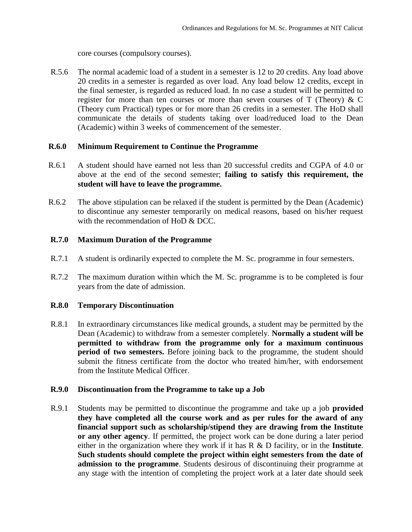core courses (compulsory courses).

R.5.6 The normal academic load of a student in a semester is 12 to 20 credits. Any load above 20 credits in a semester is regarded as over load. Any load below 12 credits, except in the final semester, is regarded as reduced load. In no case a student will be permitted to register for more than ten courses or more than seven courses of T (Theory) & C (Theory cum Practical) types or for more than 26 credits in a semester. The HoD shall communicate the details of students taking over load/reduced load to the Dean (Academic) within 3 weeks of commencement of the semester.

## **R.6.0 Minimum Requirement to Continue the Programme**

- R.6.1 A student should have earned not less than 20 successful credits and CGPA of 4.0 or above at the end of the second semester; **failing to satisfy this requirement, the student will have to leave the programme.**
- R.6.2 The above stipulation can be relaxed if the student is permitted by the Dean (Academic) to discontinue any semester temporarily on medical reasons, based on his/her request with the recommendation of HoD & DCC.

## **R.7.0 Maximum Duration of the Programme**

- R.7.1 A student is ordinarily expected to complete the M. Sc. programme in four semesters.
- R.7.2 The maximum duration within which the M. Sc. programme is to be completed is four years from the date of admission.

## **R.8.0 Temporary Discontinuation**

R.8.1 In extraordinary circumstances like medical grounds, a student may be permitted by the Dean (Academic) to withdraw from a semester completely. **Normally a student will be permitted to withdraw from the programme only for a maximum continuous period of two semesters.** Before joining back to the programme, the student should submit the fitness certificate from the doctor who treated him/her, with endorsement from the Institute Medical Officer.

## **R.9.0 Discontinuation from the Programme to take up a Job**

R.9.1 Students may be permitted to discontinue the programme and take up a job **provided they have completed all the course work and as per rules for the award of any financial support such as scholarship/stipend they are drawing from the Institute or any other agency**. If permitted, the project work can be done during a later period either in the organization where they work if it has R & D facility, or in the **Institute**. **Such students should complete the project within eight semesters from the date of admission to the programme**. Students desirous of discontinuing their programme at any stage with the intention of completing the project work at a later date should seek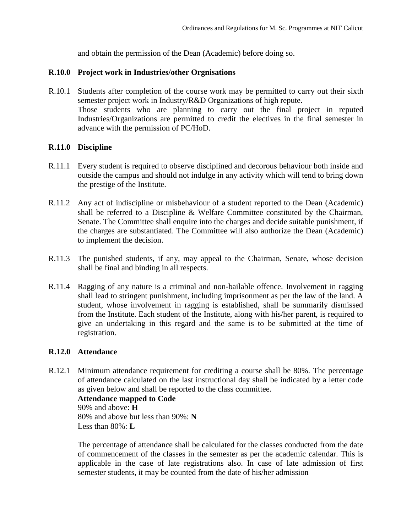and obtain the permission of the Dean (Academic) before doing so.

## **R.10.0 Project work in Industries/other Orgnisations**

R.10.1 Students after completion of the course work may be permitted to carry out their sixth semester project work in Industry/R&D Organizations of high repute. Those students who are planning to carry out the final project in reputed Industries/Organizations are permitted to credit the electives in the final semester in advance with the permission of PC/HoD.

#### **R.11.0 Discipline**

- R.11.1 Every student is required to observe disciplined and decorous behaviour both inside and outside the campus and should not indulge in any activity which will tend to bring down the prestige of the Institute.
- R.11.2 Any act of indiscipline or misbehaviour of a student reported to the Dean (Academic) shall be referred to a Discipline & Welfare Committee constituted by the Chairman, Senate. The Committee shall enquire into the charges and decide suitable punishment, if the charges are substantiated. The Committee will also authorize the Dean (Academic) to implement the decision.
- R.11.3 The punished students, if any, may appeal to the Chairman, Senate, whose decision shall be final and binding in all respects.
- R.11.4 Ragging of any nature is a criminal and non-bailable offence. Involvement in ragging shall lead to stringent punishment, including imprisonment as per the law of the land. A student, whose involvement in ragging is established, shall be summarily dismissed from the Institute. Each student of the Institute, along with his/her parent, is required to give an undertaking in this regard and the same is to be submitted at the time of registration.

## **R.12.0 Attendance**

R.12.1 Minimum attendance requirement for crediting a course shall be 80%. The percentage of attendance calculated on the last instructional day shall be indicated by a letter code as given below and shall be reported to the class committee.

## **Attendance mapped to Code**  90% and above: **H**

80% and above but less than 90%: **N** Less than 80%: **L**

The percentage of attendance shall be calculated for the classes conducted from the date of commencement of the classes in the semester as per the academic calendar. This is applicable in the case of late registrations also. In case of late admission of first semester students, it may be counted from the date of his/her admission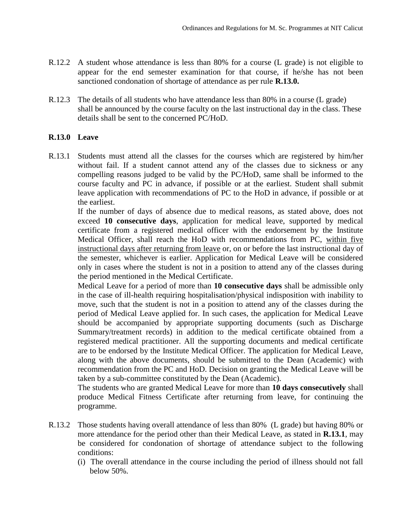- R.12.2 A student whose attendance is less than 80% for a course (L grade) is not eligible to appear for the end semester examination for that course, if he/she has not been sanctioned condonation of shortage of attendance as per rule **R.13.0.**
- R.12.3 The details of all students who have attendance less than 80% in a course (L grade) shall be announced by the course faculty on the last instructional day in the class. These details shall be sent to the concerned PC/HoD.

## **R.13.0 Leave**

R.13.1 Students must attend all the classes for the courses which are registered by him/her without fail. If a student cannot attend any of the classes due to sickness or any compelling reasons judged to be valid by the PC/HoD, same shall be informed to the course faculty and PC in advance, if possible or at the earliest. Student shall submit leave application with recommendations of PC to the HoD in advance, if possible or at the earliest.

If the number of days of absence due to medical reasons, as stated above, does not exceed **10 consecutive days**, application for medical leave, supported by medical certificate from a registered medical officer with the endorsement by the Institute Medical Officer, shall reach the HoD with recommendations from PC, within five instructional days after returning from leave or, on or before the last instructional day of the semester, whichever is earlier. Application for Medical Leave will be considered only in cases where the student is not in a position to attend any of the classes during the period mentioned in the Medical Certificate.

Medical Leave for a period of more than **10 consecutive days** shall be admissible only in the case of ill-health requiring hospitalisation/physical indisposition with inability to move, such that the student is not in a position to attend any of the classes during the period of Medical Leave applied for. In such cases, the application for Medical Leave should be accompanied by appropriate supporting documents (such as Discharge Summary/treatment records) in addition to the medical certificate obtained from a registered medical practitioner. All the supporting documents and medical certificate are to be endorsed by the Institute Medical Officer. The application for Medical Leave, along with the above documents, should be submitted to the Dean (Academic) with recommendation from the PC and HoD. Decision on granting the Medical Leave will be taken by a sub-committee constituted by the Dean (Academic).

The students who are granted Medical Leave for more than **10 days consecutively** shall produce Medical Fitness Certificate after returning from leave, for continuing the programme.

- R.13.2 Those students having overall attendance of less than 80% (L grade) but having 80% or more attendance for the period other than their Medical Leave, as stated in **R.13.1**, may be considered for condonation of shortage of attendance subject to the following conditions:
	- (i) The overall attendance in the course including the period of illness should not fall below 50%.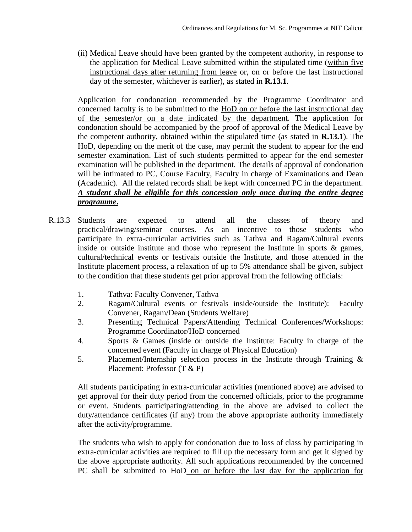(ii) Medical Leave should have been granted by the competent authority, in response to the application for Medical Leave submitted within the stipulated time (within five instructional days after returning from leave or, on or before the last instructional day of the semester, whichever is earlier), as stated in **R.13.1**.

Application for condonation recommended by the Programme Coordinator and concerned faculty is to be submitted to the HoD on or before the last instructional day of the semester/or on a date indicated by the department. The application for condonation should be accompanied by the proof of approval of the Medical Leave by the competent authority, obtained within the stipulated time (as stated in **R.13.1**). The HoD, depending on the merit of the case, may permit the student to appear for the end semester examination. List of such students permitted to appear for the end semester examination will be published in the department. The details of approval of condonation will be intimated to PC, Course Faculty, Faculty in charge of Examinations and Dean (Academic). All the related records shall be kept with concerned PC in the department. *A student shall be eligible for this concession only once during the entire degree programme***.**

- R.13.3 Students Students are expected to attend all the classes of theory and practical/drawing/seminar courses. As an incentive to those students who participate in extra-curricular activities such as Tathva and Ragam/Cultural events inside or outside institute and those who represent the Institute in sports & games, cultural/technical events or festivals outside the Institute, and those attended in the Institute placement process, a relaxation of up to 5% attendance shall be given, subject to the condition that these students get prior approval from the following officials:
	- 1. Tathva: Faculty Convener, Tathva
	- 2. Ragam/Cultural events or festivals inside/outside the Institute): Faculty Convener, Ragam/Dean (Students Welfare)
	- 3. Presenting Technical Papers/Attending Technical Conferences/Workshops: Programme Coordinator/HoD concerned
	- 4. Sports & Games (inside or outside the Institute: Faculty in charge of the concerned event (Faculty in charge of Physical Education)
	- 5. Placement/Internship selection process in the Institute through Training & Placement: Professor (T & P)

All students participating in extra-curricular activities (mentioned above) are advised to get approval for their duty period from the concerned officials, prior to the programme or event. Students participating/attending in the above are advised to collect the duty/attendance certificates (if any) from the above appropriate authority immediately after the activity/programme.

The students who wish to apply for condonation due to loss of class by participating in extra-curricular activities are required to fill up the necessary form and get it signed by the above appropriate authority. All such applications recommended by the concerned PC shall be submitted to HoD on or before the last day for the application for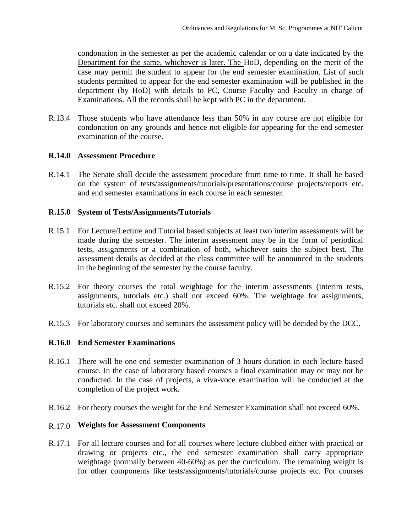condonation in the semester as per the academic calendar or on a date indicated by the Department for the same, whichever is later. The HoD, depending on the merit of the case may permit the student to appear for the end semester examination. List of such students permitted to appear for the end semester examination will be published in the department (by HoD) with details to PC, Course Faculty and Faculty in charge of Examinations. All the records shall be kept with PC in the department.

R.13.4 Those students who have attendance less than 50% in any course are not eligible for condonation on any grounds and hence not eligible for appearing for the end semester examination of the course.

## **R.14.0 Assessment Procedure**

R.14.1 The Senate shall decide the assessment procedure from time to time. It shall be based on the system of tests/assignments/tutorials/presentations/course projects/reports etc. and end semester examinations in each course in each semester.

## **R.15.0 System of Tests/Assignments/Tutorials**

- R.15.1 For Lecture/Lecture and Tutorial based subjects at least two interim assessments will be made during the semester. The interim assessment may be in the form of periodical tests, assignments or a combination of both, whichever suits the subject best. The assessment details as decided at the class committee will be announced to the students in the beginning of the semester by the course faculty.
- R.15.2 For theory courses the total weightage for the interim assessments (interim tests, assignments, tutorials etc.) shall not exceed 60%. The weightage for assignments, tutorials etc. shall not exceed 20%.
- R.15.3 For laboratory courses and seminars the assessment policy will be decided by the DCC.

## **R.16.0 End Semester Examinations**

- R.16.1 There will be one end semester examination of 3 hours duration in each lecture based course. In the case of laboratory based courses a final examination may or may not be conducted. In the case of projects, a viva-voce examination will be conducted at the completion of the project work.
- R.16.2 For theory courses the weight for the End Semester Examination shall not exceed 60%.

#### R.17.0 **Weights for Assessment Components**

R.17.1 For all lecture courses and for all courses where lecture clubbed either with practical or drawing or projects etc., the end semester examination shall carry appropriate weightage (normally between 40-60%) as per the curriculum. The remaining weight is for other components like tests/assignments/tutorials/course projects etc. For courses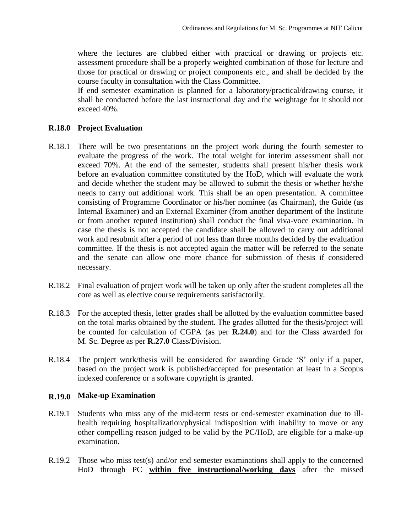where the lectures are clubbed either with practical or drawing or projects etc. assessment procedure shall be a properly weighted combination of those for lecture and those for practical or drawing or project components etc., and shall be decided by the course faculty in consultation with the Class Committee.

If end semester examination is planned for a laboratory/practical/drawing course, it shall be conducted before the last instructional day and the weightage for it should not exceed 40%.

## **R.18.0 Project Evaluation**

- R.18.1 There will be two presentations on the project work during the fourth semester to evaluate the progress of the work. The total weight for interim assessment shall not exceed 70%. At the end of the semester, students shall present his/her thesis work before an evaluation committee constituted by the HoD, which will evaluate the work and decide whether the student may be allowed to submit the thesis or whether he/she needs to carry out additional work. This shall be an open presentation. A committee consisting of Programme Coordinator or his/her nominee (as Chairman), the Guide (as Internal Examiner) and an External Examiner (from another department of the Institute or from another reputed institution) shall conduct the final viva-voce examination. In case the thesis is not accepted the candidate shall be allowed to carry out additional work and resubmit after a period of not less than three months decided by the evaluation committee. If the thesis is not accepted again the matter will be referred to the senate and the senate can allow one more chance for submission of thesis if considered necessary.
- R.18.2 Final evaluation of project work will be taken up only after the student completes all the core as well as elective course requirements satisfactorily.
- R.18.3 For the accepted thesis, letter grades shall be allotted by the evaluation committee based on the total marks obtained by the student. The grades allotted for the thesis/project will be counted for calculation of CGPA (as per **R.24.0**) and for the Class awarded for M. Sc. Degree as per **R.27.0** Class/Division.
- R.18.4 The project work/thesis will be considered for awarding Grade 'S' only if a paper, based on the project work is published/accepted for presentation at least in a Scopus indexed conference or a software copyright is granted.

## **R.19.0 Make-up Examination**

- R.19.1 Students who miss any of the mid-term tests or end-semester examination due to illhealth requiring hospitalization/physical indisposition with inability to move or any other compelling reason judged to be valid by the PC/HoD, are eligible for a make-up examination.
- R.19.2 Those who miss test(s) and/or end semester examinations shall apply to the concerned HoD through PC **within five instructional/working days** after the missed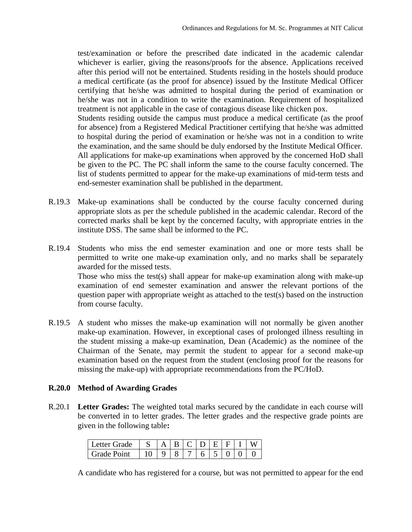test/examination or before the prescribed date indicated in the academic calendar whichever is earlier, giving the reasons/proofs for the absence. Applications received after this period will not be entertained. Students residing in the hostels should produce a medical certificate (as the proof for absence) issued by the Institute Medical Officer certifying that he/she was admitted to hospital during the period of examination or he/she was not in a condition to write the examination. Requirement of hospitalized treatment is not applicable in the case of contagious disease like chicken pox.

Students residing outside the campus must produce a medical certificate (as the proof for absence) from a Registered Medical Practitioner certifying that he/she was admitted to hospital during the period of examination or he/she was not in a condition to write the examination, and the same should be duly endorsed by the Institute Medical Officer. All applications for make-up examinations when approved by the concerned HoD shall be given to the PC. The PC shall inform the same to the course faculty concerned. The list of students permitted to appear for the make-up examinations of mid-term tests and end-semester examination shall be published in the department.

- R.19.3 Make-up examinations shall be conducted by the course faculty concerned during appropriate slots as per the schedule published in the academic calendar. Record of the corrected marks shall be kept by the concerned faculty, with appropriate entries in the institute DSS. The same shall be informed to the PC.
- R.19.4 Students who miss the end semester examination and one or more tests shall be permitted to write one make-up examination only, and no marks shall be separately awarded for the missed tests.

Those who miss the test(s) shall appear for make-up examination along with make-up examination of end semester examination and answer the relevant portions of the question paper with appropriate weight as attached to the test(s) based on the instruction from course faculty.

R.19.5 A student who misses the make-up examination will not normally be given another make-up examination. However, in exceptional cases of prolonged illness resulting in the student missing a make-up examination, Dean (Academic) as the nominee of the Chairman of the Senate, may permit the student to appear for a second make-up examination based on the request from the student (enclosing proof for the reasons for missing the make-up) with appropriate recommendations from the PC/HoD.

## **R.20.0 Method of Awarding Grades**

R.20.1 **Letter Grades:** The weighted total marks secured by the candidate in each course will be converted in to letter grades. The letter grades and the respective grade points are given in the following table**:**

| l Letter Grade |  |  |  |  |  |
|----------------|--|--|--|--|--|
| l Grade Point  |  |  |  |  |  |

A candidate who has registered for a course, but was not permitted to appear for the end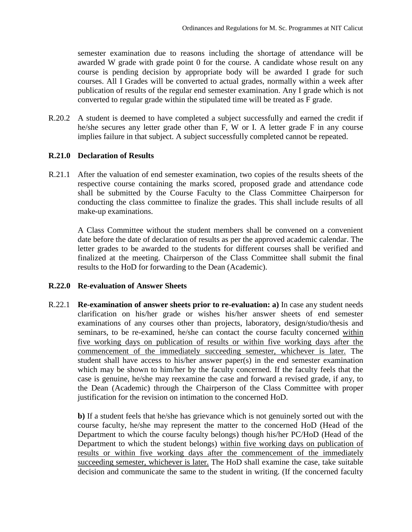semester examination due to reasons including the shortage of attendance will be awarded W grade with grade point 0 for the course. A candidate whose result on any course is pending decision by appropriate body will be awarded I grade for such courses. All I Grades will be converted to actual grades, normally within a week after publication of results of the regular end semester examination. Any I grade which is not converted to regular grade within the stipulated time will be treated as F grade.

R.20.2 A student is deemed to have completed a subject successfully and earned the credit if he/she secures any letter grade other than F, W or I. A letter grade F in any course implies failure in that subject. A subject successfully completed cannot be repeated.

## **R.21.0 Declaration of Results**

R.21.1 After the valuation of end semester examination, two copies of the results sheets of the respective course containing the marks scored, proposed grade and attendance code shall be submitted by the Course Faculty to the Class Committee Chairperson for conducting the class committee to finalize the grades. This shall include results of all make-up examinations.

A Class Committee without the student members shall be convened on a convenient date before the date of declaration of results as per the approved academic calendar. The letter grades to be awarded to the students for different courses shall be verified and finalized at the meeting. Chairperson of the Class Committee shall submit the final results to the HoD for forwarding to the Dean (Academic).

## **R.22.0 Re-evaluation of Answer Sheets**

R.22.1 **Re-examination of answer sheets prior to re-evaluation: a)** In case any student needs clarification on his/her grade or wishes his/her answer sheets of end semester examinations of any courses other than projects, laboratory, design/studio/thesis and seminars, to be re-examined, he/she can contact the course faculty concerned within five working days on publication of results or within five working days after the commencement of the immediately succeeding semester, whichever is later. The student shall have access to his/her answer paper(s) in the end semester examination which may be shown to him/her by the faculty concerned. If the faculty feels that the case is genuine, he/she may reexamine the case and forward a revised grade, if any, to the Dean (Academic) through the Chairperson of the Class Committee with proper justification for the revision on intimation to the concerned HoD.

**b)** If a student feels that he/she has grievance which is not genuinely sorted out with the course faculty, he/she may represent the matter to the concerned HoD (Head of the Department to which the course faculty belongs) though his/her PC/HoD (Head of the Department to which the student belongs) within five working days on publication of results or within five working days after the commencement of the immediately succeeding semester, whichever is later. The HoD shall examine the case, take suitable decision and communicate the same to the student in writing. (If the concerned faculty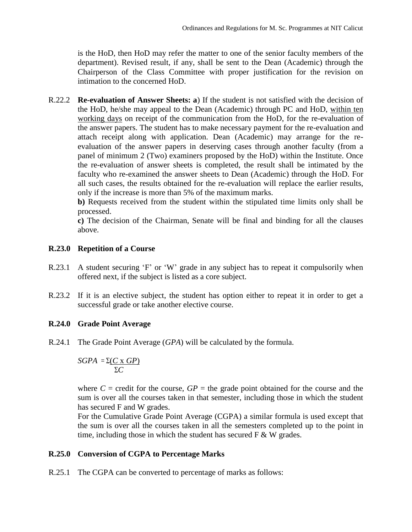is the HoD, then HoD may refer the matter to one of the senior faculty members of the department). Revised result, if any, shall be sent to the Dean (Academic) through the Chairperson of the Class Committee with proper justification for the revision on intimation to the concerned HoD.

R.22.2 **Re-evaluation of Answer Sheets: a**) If the student is not satisfied with the decision of the HoD, he/she may appeal to the Dean (Academic) through PC and HoD, within ten working days on receipt of the communication from the HoD, for the re-evaluation of the answer papers. The student has to make necessary payment for the re-evaluation and attach receipt along with application. Dean (Academic) may arrange for the reevaluation of the answer papers in deserving cases through another faculty (from a panel of minimum 2 (Two) examiners proposed by the HoD) within the Institute. Once the re-evaluation of answer sheets is completed, the result shall be intimated by the faculty who re-examined the answer sheets to Dean (Academic) through the HoD. For all such cases, the results obtained for the re-evaluation will replace the earlier results, only if the increase is more than 5% of the maximum marks.

**b)** Requests received from the student within the stipulated time limits only shall be processed.

**c)** The decision of the Chairman, Senate will be final and binding for all the clauses above.

## **R.23.0 Repetition of a Course**

- R.23.1 A student securing 'F' or 'W' grade in any subject has to repeat it compulsorily when offered next, if the subject is listed as a core subject.
- R.23.2 If it is an elective subject, the student has option either to repeat it in order to get a successful grade or take another elective course.

## **R.24.0 Grade Point Average**

R.24.1 The Grade Point Average (*GPA*) will be calculated by the formula.

$$
SGPA = \frac{\sum (C \times GP)}{\sum C}
$$

where  $C =$  credit for the course,  $GP =$  the grade point obtained for the course and the sum is over all the courses taken in that semester, including those in which the student has secured F and W grades.

For the Cumulative Grade Point Average (CGPA) a similar formula is used except that the sum is over all the courses taken in all the semesters completed up to the point in time, including those in which the student has secured  $F \& W$  grades.

## **R.25.0 Conversion of CGPA to Percentage Marks**

R.25.1 The CGPA can be converted to percentage of marks as follows: